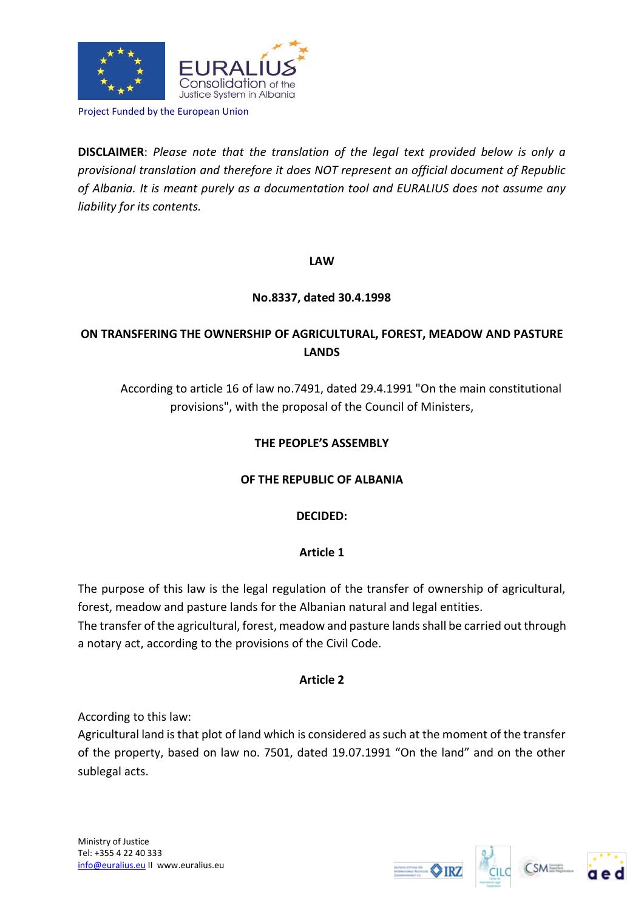

Project Funded by the European Union

**DISCLAIMER**: *Please note that the translation of the legal text provided below is only a provisional translation and therefore it does NOT represent an official document of Republic of Albania. It is meant purely as a documentation tool and EURALIUS does not assume any liability for its contents.*

**LAW**

# **No.8337, dated 30.4.1998**

# **ON TRANSFERING THE OWNERSHIP OF AGRICULTURAL, FOREST, MEADOW AND PASTURE LANDS**

According to article 16 of law no.7491, dated 29.4.1991 "On the main constitutional provisions", with the proposal of the Council of Ministers,

# **THE PEOPLE'S ASSEMBLY**

# **OF THE REPUBLIC OF ALBANIA**

# **DECIDED:**

# **Article 1**

The purpose of this law is the legal regulation of the transfer of ownership of agricultural, forest, meadow and pasture lands for the Albanian natural and legal entities.

The transfer of the agricultural, forest, meadow and pasture lands shall be carried out through a notary act, according to the provisions of the Civil Code.

# **Article 2**

According to this law:

Agricultural land is that plot of land which is considered as such at the moment of the transfer of the property, based on law no. 7501, dated 19.07.1991 "On the land" and on the other sublegal acts.





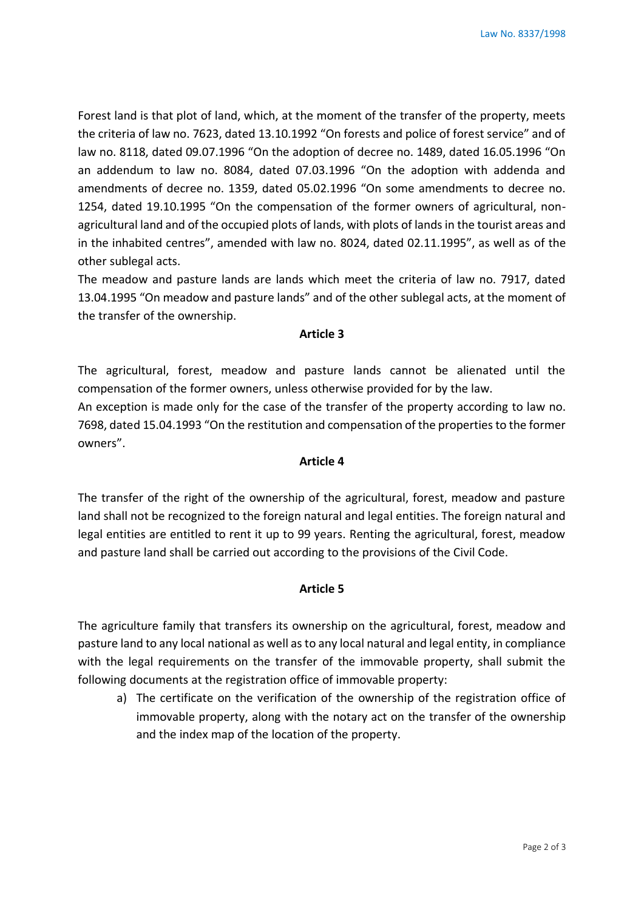Forest land is that plot of land, which, at the moment of the transfer of the property, meets the criteria of law no. 7623, dated 13.10.1992 "On forests and police of forest service" and of law no. 8118, dated 09.07.1996 "On the adoption of decree no. 1489, dated 16.05.1996 "On an addendum to law no. 8084, dated 07.03.1996 "On the adoption with addenda and amendments of decree no. 1359, dated 05.02.1996 "On some amendments to decree no. 1254, dated 19.10.1995 "On the compensation of the former owners of agricultural, nonagricultural land and of the occupied plots of lands, with plots of lands in the tourist areas and in the inhabited centres", amended with law no. 8024, dated 02.11.1995", as well as of the other sublegal acts.

The meadow and pasture lands are lands which meet the criteria of law no. 7917, dated 13.04.1995 "On meadow and pasture lands" and of the other sublegal acts, at the moment of the transfer of the ownership.

#### **Article 3**

The agricultural, forest, meadow and pasture lands cannot be alienated until the compensation of the former owners, unless otherwise provided for by the law.

An exception is made only for the case of the transfer of the property according to law no. 7698, dated 15.04.1993 "On the restitution and compensation of the properties to the former owners".

#### **Article 4**

The transfer of the right of the ownership of the agricultural, forest, meadow and pasture land shall not be recognized to the foreign natural and legal entities. The foreign natural and legal entities are entitled to rent it up to 99 years. Renting the agricultural, forest, meadow and pasture land shall be carried out according to the provisions of the Civil Code.

#### **Article 5**

The agriculture family that transfers its ownership on the agricultural, forest, meadow and pasture land to any local national as well as to any local natural and legal entity, in compliance with the legal requirements on the transfer of the immovable property, shall submit the following documents at the registration office of immovable property:

a) The certificate on the verification of the ownership of the registration office of immovable property, along with the notary act on the transfer of the ownership and the index map of the location of the property.